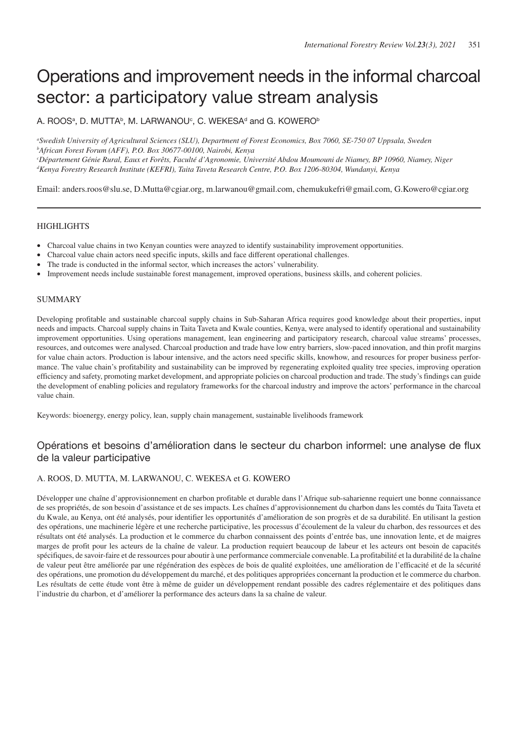# Operations and improvement needs in the informal charcoal sector: a participatory value stream analysis

A. ROOSª, D. MUTTA♭, M. LARWANOU°, C. WEKESAª and G. KOWERO♭

*a Swedish University of Agricultural Sciences (SLU), Department of Forest Economics, Box 7060, SE-750 07 Uppsala, Sweden b African Forest Forum (AFF), P.O. Box 30677-00100, Nairobi, Kenya c Département Génie Rural, Eaux et Forêts, Faculté d'Agronomie, Université Abdou Moumouni de Niamey, BP 10960, Niamey, Niger d Kenya Forestry Research Institute (KEFRI), Taita Taveta Research Centre, P.O. Box 1206-80304, Wundanyi, Kenya*

Email: anders.roos@slu.se, D.Mutta@cgiar.org, m.larwanou@gmail.com, chemukukefri@gmail.com, G.Kowero@cgiar.org

# **HIGHLIGHTS**

- Charcoal value chains in two Kenyan counties were anayzed to identify sustainability improvement opportunities.
- Charcoal value chain actors need specific inputs, skills and face different operational challenges.
- The trade is conducted in the informal sector, which increases the actors' vulnerability.
- Improvement needs include sustainable forest management, improved operations, business skills, and coherent policies.

# SUMMARY

Developing profitable and sustainable charcoal supply chains in Sub-Saharan Africa requires good knowledge about their properties, input needs and impacts. Charcoal supply chains in Taita Taveta and Kwale counties, Kenya, were analysed to identify operational and sustainability improvement opportunities. Using operations man agement, lean engineering and participatory research, charcoal value streams' processes, resources, and outcomes were analysed. Charcoal production and trade have low entry barriers, slow-paced innovation, and thin profit margins for value chain actors. Production is labour intensive, and the actors need specific skills, knowhow, and resources for proper business performance. The value chain's profitability and sustainability can be improved by regenerating exploited quality tree species, improving operation efficiency and safety, promoting market development, and appropriate policies on charcoal production and trade. The study's findings can guide the development of enabling policies and regulatory frameworks for the charcoal industry and improve the actors' performance in the charcoal value chain.

Keywords: bioenergy, energy policy, lean, supply chain management, sustainable livelihoods framework

# Opérations et besoins d'amélioration dans le secteur du charbon informel: une analyse de flux de la valeur participative

# A. ROOS, D. MUTTA, M. LARWANOU, C. WEKESA et G. KOWERO

Développer une chaîne d'approvisionnement en charbon profitable et durable dans l'Afrique sub-saharienne requiert une bonne connaissance de ses propriétés, de son besoin d'assistance et de ses impacts. Les chaînes d'approvisionnement du charbon dans les comtés du Taita Taveta et du Kwale, au Kenya, ont été analysés, pour identifier les opportunités d'amélioration de son progrès et de sa durabilité. En utilisant la gestion des opérations, une machinerie légère et une recherche participative, les processus d'écoulement de la valeur du charbon, des ressources et des résultats ont été analysés. La production et le commerce du charbon connaissent des points d'entrée bas, une innovation lente, et de maigres marges de profit pour les acteurs de la chaîne de valeur. La production requiert beaucoup de labeur et les acteurs ont besoin de capacités spécifiques, de savoir-faire et de ressources pour aboutir à une performance commerciale convenable. La profitabilité et la durabilité de la chaîne de valeur peut être améliorée par une régénération des espèces de bois de qualité exploitées, une amélioration de l'efficacité et de la sécurité des opérations, une promotion du développement du marché, et des politiques appropriées concernant la production et le commerce du charbon. Les résultats de cette étude vont être à même de guider un développement rendant possible des cadres réglementaire et des politiques dans l'industrie du charbon, et d'améliorer la performance des acteurs dans la sa chaîne de valeur.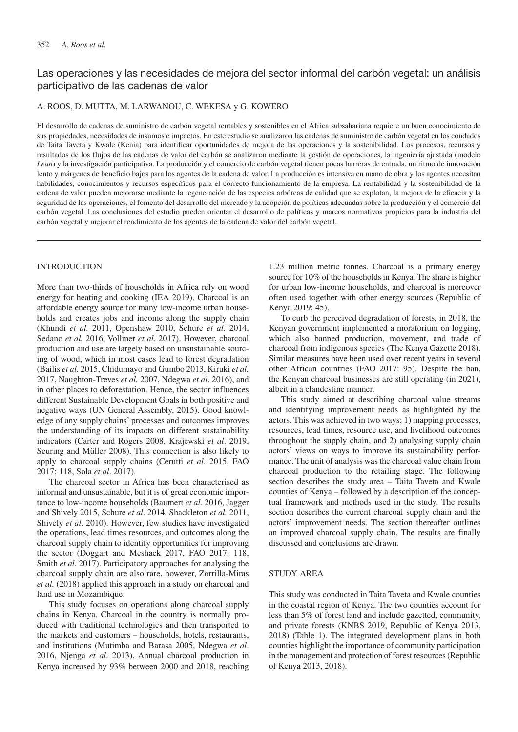# Las operaciones y las necesidades de mejora del sector informal del carbón vegetal: un análisis participativo de las cadenas de valor

### A. ROOS, D. MUTTA, M. LARWANOU, C. WEKESA y G. KOWERO

El desarrollo de cadenas de suministro de carbón vegetal rentables y sostenibles en el África subsahariana requiere un buen conocimiento de sus propiedades, necesidades de insumos e impactos. En este estudio se analizaron las cadenas de suministro de carbón vegetal en los condados de Taita Taveta y Kwale (Kenia) para identificar oportunidades de mejora de las operaciones y la sostenibilidad. Los procesos, recursos y resultados de los flujos de las cadenas de valor del carbón se analizaron mediante la gestión de operaciones, la ingeniería ajustada (modelo *Lean*) y la investigación participativa. La producción y el comercio de carbón vegetal tienen pocas barreras de entrada, un ritmo de innovación lento y márgenes de beneficio bajos para los agentes de la cadena de valor. La producción es intensiva en mano de obra y los agentes necesitan habilidades, conocimientos y recursos específicos para el correcto funcionamiento de la empresa. La rentabilidad y la sostenibilidad de la cadena de valor pueden mejorarse mediante la regeneración de las especies arbóreas de calidad que se explotan, la mejora de la eficacia y la seguridad de las operaciones, el fomento del desarrollo del mercado y la adopción de políticas adecuadas sobre la producción y el comercio del carbón vegetal. Las conclusiones del estudio pueden orientar el desarrollo de políticas y marcos normativos propicios para la industria del carbón vegetal y mejorar el rendimiento de los agentes de la cadena de valor del carbón vegetal.

### INTRODUCTION

More than two-thirds of households in Africa rely on wood energy for heating and cooking (IEA 2019). Charcoal is an affordable energy source for many low-income urban households and creates jobs and income along the supply chain (Khundi *et al.* 2011, Openshaw 2010, Schure *et al.* 2014, Sedano *et al.* 2016, Vollmer *et al.* 2017). However, charcoal production and use are largely based on unsustainable sourcing of wood, which in most cases lead to forest degradation (Bailis *et al.* 2015, Chidumayo and Gumbo 2013, Kiruki *et al.* 2017, Naughton-Treves *et al.* 2007, Ndegwa *et al*. 2016), and in other places to deforestation. Hence, the sector influences different Sustainable Development Goals in both positive and negative ways (UN General Assembly, 2015). Good knowledge of any supply chains' processes and outcomes improves the understanding of its impacts on different sustainability indicators (Carter and Rogers 2008, Krajewski *et al*. 2019, Seuring and Müller 2008). This connection is also likely to apply to charcoal supply chains (Cerutti *et al*. 2015, FAO 2017: 118, Sola *et al*. 2017).

The charcoal sector in Africa has been characterised as informal and unsustainable, but it is of great economic importance to low-income households (Baumert *et al.* 2016, Jagger and Shively 2015, Schure *et al*. 2014, Shackleton *et al.* 2011, Shively *et al*. 2010). However, few studies have investigated the operations, lead times resources, and outcomes along the charcoal supply chain to identify opportunities for improving the sector (Doggart and Meshack 2017, FAO 2017: 118, Smith *et al.* 2017). Participatory approaches for analysing the charcoal supply chain are also rare, however, Zorrilla-Miras *et al.* (2018) applied this approach in a study on charcoal and land use in Mozambique.

This study focuses on operations along charcoal supply chains in Kenya. Charcoal in the country is normally produced with traditional technologies and then transported to the markets and customers – households, hotels, restaurants, and institutions (Mutimba and Barasa 2005, Ndegwa *et al*. 2016, Njenga *et al*. 2013). Annual charcoal production in Kenya increased by 93% between 2000 and 2018, reaching

1.23 million metric tonnes. Charcoal is a primary energy source for 10% of the households in Kenya. The share is higher for urban low-income households, and charcoal is moreover often used together with other energy sources (Republic of Kenya 2019: 45).

To curb the perceived degradation of forests, in 2018, the Kenyan government implemented a moratorium on logging, which also banned production, movement, and trade of charcoal from indigenous species (The Kenya Gazette 2018). Similar measures have been used over recent years in several other African countries (FAO 2017: 95). Despite the ban, the Kenyan charcoal businesses are still operating (in 2021), albeit in a clandestine manner.

This study aimed at describing charcoal value streams and identifying improvement needs as highlighted by the actors. This was achieved in two ways: 1) mapping processes, resources, lead times, resource use, and livelihood outcomes throughout the supply chain, and 2) analysing supply chain actors' views on ways to improve its sustainability performance. The unit of analysis was the charcoal value chain from charcoal production to the retailing stage. The following section describes the study area – Taita Taveta and Kwale counties of Kenya – followed by a description of the conceptual framework and methods used in the study. The results section describes the current charcoal supply chain and the actors' improvement needs. The section thereafter outlines an improved charcoal supply chain. The results are finally discussed and conclusions are drawn.

### STUDY AREA

This study was conducted in Taita Taveta and Kwale counties in the coastal region of Kenya. The two counties account for less than 5% of forest land and include gazetted, community, and private forests (KNBS 2019, Republic of Kenya 2013, 2018) (Table 1). The integrated development plans in both counties highlight the importance of community participation in the management and protection of forest resources (Republic of Kenya 2013, 2018).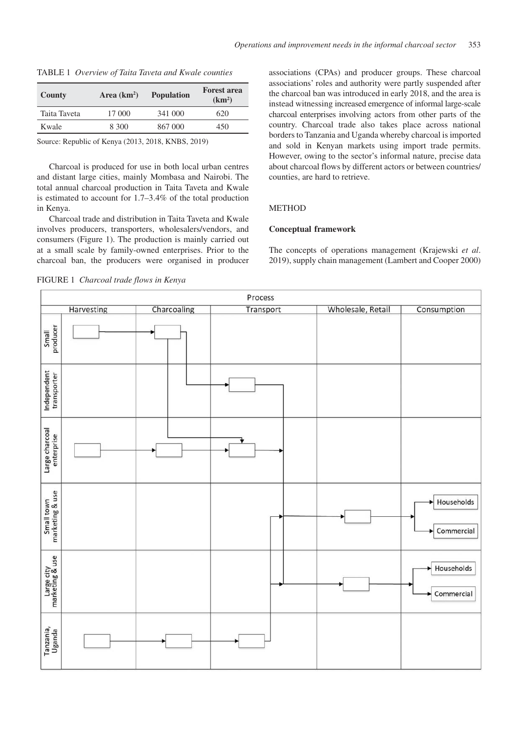| County       | Area $(km2)$ | <b>Population</b> | <b>Forest area</b><br>(km <sup>2</sup> ) |
|--------------|--------------|-------------------|------------------------------------------|
| Taita Taveta | 17 000       | 341 000           | 620                                      |
| Kwale        | 8.300        | 867 000           | 450                                      |

Source: Republic of Kenya (2013, 2018, KNBS, 2019)

Charcoal is produced for use in both local urban centres and distant large cities, mainly Mombasa and Nairobi. The total annual charcoal production in Taita Taveta and Kwale is estimated to account for 1.7–3.4% of the total production in Kenya.

Charcoal trade and distribution in Taita Taveta and Kwale involves producers, transporters, wholesalers/vendors, and consumers (Figure 1). The production is mainly carried out at a small scale by family-owned enterprises. Prior to the charcoal ban, the producers were organised in producer

associations (CPAs) and producer groups. These charcoal associations' roles and authority were partly suspended after the charcoal ban was introduced in early 2018, and the area is instead witnessing increased emergence of informal large-scale charcoal enterprises involving actors from other parts of the country. Charcoal trade also takes place across national borders to Tanzania and Uganda whereby charcoal is imported and sold in Kenyan markets using import trade permits. However, owing to the sector's informal nature, precise data about charcoal flows by different actors or between countries/ counties, are hard to retrieve.

# **METHOD**

### **Conceptual framework**

The concepts of operations management (Krajewski *et al*. 2019), supply chain management (Lambert and Cooper 2000)

FIGURE 1 *Charcoal trade flows in Kenya*

| Process                       |            |             |           |  |                   |                          |
|-------------------------------|------------|-------------|-----------|--|-------------------|--------------------------|
|                               | Harvesting | Charcoaling | Transport |  | Wholesale, Retail | Consumption              |
| Small<br>producer             |            |             |           |  |                   |                          |
| Independent<br>transporter    |            |             |           |  |                   |                          |
| Large charcoal<br>enterprise  |            |             |           |  |                   |                          |
| Small town<br>marketing & use |            |             |           |  |                   | Households<br>Commercial |
| Large city<br>marketing & use |            |             |           |  |                   | Households<br>Commercial |
| Tanzania,<br>Uganda           |            |             |           |  |                   |                          |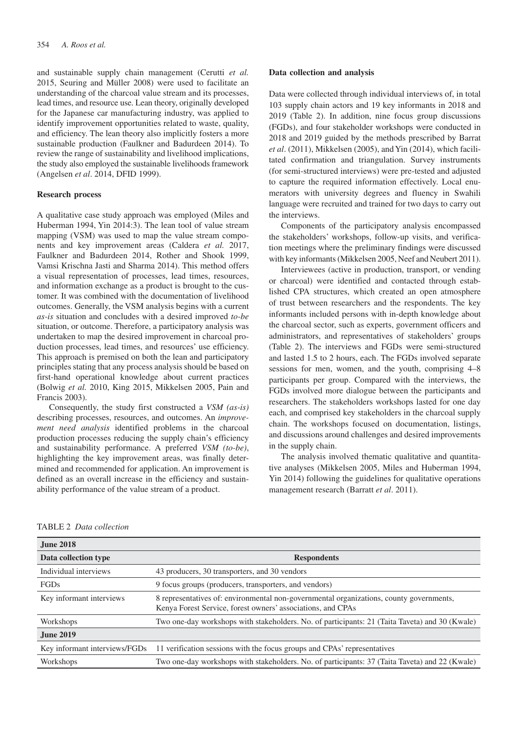and sustainable supply chain management (Cerutti *et al.* 2015, Seuring and Müller 2008) were used to facilitate an understanding of the charcoal value stream and its processes, lead times, and resource use. Lean theory, originally developed for the Japanese car manufacturing industry, was applied to identify improvement opportunities related to waste, quality, and efficiency. The lean theory also implicitly fosters a more sustainable production (Faulkner and Badurdeen 2014). To review the range of sustainability and livelihood implications, the study also employed the sustainable livelihoods framework (Angelsen *et al*. 2014, DFID 1999).

#### **Research process**

A qualitative case study approach was employed (Miles and Huberman 1994, Yin 2014:3). The lean tool of value stream mapping (VSM) was used to map the value stream components and key improvement areas (Caldera *et al.* 2017, Faulkner and Badurdeen 2014, Rother and Shook 1999, Vamsi Krischna Jasti and Sharma 2014). This method offers a visual representation of processes, lead times, resources, and information exchange as a product is brought to the customer. It was combined with the documentation of livelihood outcomes. Generally, the VSM analysis begins with a current *as-is* situation and concludes with a desired improved *to-be* situation, or outcome. Therefore, a participatory analysis was undertaken to map the desired improvement in charcoal production processes, lead times, and resources' use efficiency. This approach is premised on both the lean and participatory principles stating that any process analysis should be based on first-hand operational knowledge about current practices (Bolwig *et al.* 2010, King 2015, Mikkelsen 2005, Pain and Francis 2003).

Consequently, the study first constructed a *VSM (as-is)*  describing processes, resources, and outcomes. An *improvement need analysis* identified problems in the charcoal production processes reducing the supply chain's efficiency and sustainability performance. A preferred *VSM (to-be)*, highlighting the key improvement areas, was finally determined and recommended for application. An improvement is defined as an overall increase in the efficiency and sustainability performance of the value stream of a product.

### **Data collection and analysis**

Data were collected through individual interviews of, in total 103 supply chain actors and 19 key informants in 2018 and 2019 (Table 2). In addition, nine focus group discussions (FGDs), and four stakeholder workshops were conducted in 2018 and 2019 guided by the methods prescribed by Barrat *et al*. (2011), Mikkelsen (2005), and Yin (2014), which facilitated confirmation and triangulation. Survey instruments (for semi-structured interviews) were pre-tested and adjusted to capture the required information effectively. Local enumerators with university degrees and fluency in Swahili language were recruited and trained for two days to carry out the interviews.

Components of the participatory analysis encompassed the stakeholders' workshops, follow-up visits, and verification meetings where the preliminary findings were discussed with key informants (Mikkelsen 2005, Neef and Neubert 2011).

Interviewees (active in production, transport, or vending or charcoal) were identified and contacted through established CPA structures, which created an open atmosphere of trust between researchers and the respondents. The key informants included persons with in-depth knowledge about the charcoal sector, such as experts, government officers and administrators, and representatives of stakeholders' groups (Table 2). The interviews and FGDs were semi-structured and lasted 1.5 to 2 hours, each. The FGDs involved separate sessions for men, women, and the youth, comprising 4–8 participants per group. Compared with the interviews, the FGDs involved more dialogue between the participants and researchers. The stakeholders workshops lasted for one day each, and comprised key stakeholders in the charcoal supply chain. The workshops focused on documentation, listings, and discussions around challenges and desired improvements in the supply chain.

The analysis involved thematic qualitative and quantitative analyses (Mikkelsen 2005, Miles and Huberman 1994, Yin 2014) following the guidelines for qualitative operations management research (Barratt *et al*. 2011).

|  | <b>TABLE 2</b> Data collection |
|--|--------------------------------|
|--|--------------------------------|

| <b>June 2018</b>              |                                                                                                                                                        |
|-------------------------------|--------------------------------------------------------------------------------------------------------------------------------------------------------|
| Data collection type          | <b>Respondents</b>                                                                                                                                     |
| Individual interviews         | 43 producers, 30 transporters, and 30 vendors                                                                                                          |
| FGDs                          | 9 focus groups (producers, transporters, and vendors)                                                                                                  |
| Key informant interviews      | 8 representatives of: environmental non-governmental organizations, county governments,<br>Kenya Forest Service, forest owners' associations, and CPAs |
| Workshops                     | Two one-day workshops with stakeholders. No. of participants: 21 (Taita Taveta) and 30 (Kwale)                                                         |
| <b>June 2019</b>              |                                                                                                                                                        |
| Key informant interviews/FGDs | 11 verification sessions with the focus groups and CPAs' representatives                                                                               |
| Workshops                     | Two one-day workshops with stakeholders. No. of participants: 37 (Taita Taveta) and 22 (Kwale)                                                         |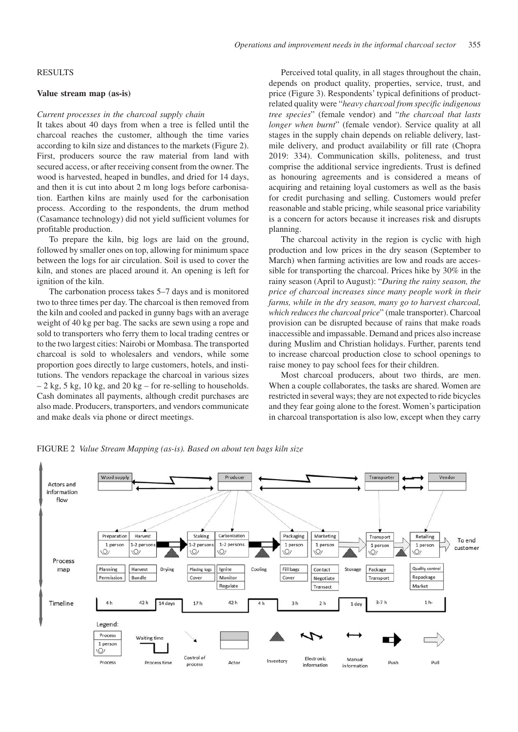### RESULTS

#### **Value stream map (as-is)**

### *Current processes in the charcoal supply chain*

It takes about 40 days from when a tree is felled until the charcoal reaches the customer, although the time varies according to kiln size and distances to the markets (Figure 2). First, producers source the raw material from land with secured access, or after receiving consent from the owner. The wood is harvested, heaped in bundles, and dried for 14 days, and then it is cut into about 2 m long logs before carbonisation. Earthen kilns are mainly used for the carbonisation process. According to the respondents, the drum method (Casamance technology) did not yield sufficient volumes for profitable production.

To prepare the kiln, big logs are laid on the ground, followed by smaller ones on top, allowing for minimum space between the logs for air circulation. Soil is used to cover the kiln, and stones are placed around it. An opening is left for ignition of the kiln.

The carbonation process takes 5–7 days and is monitored two to three times per day. The charcoal is then removed from the kiln and cooled and packed in gunny bags with an average weight of 40 kg per bag. The sacks are sewn using a rope and sold to transporters who ferry them to local trading centres or to the two largest cities: Nairobi or Mombasa. The transported charcoal is sold to wholesalers and vendors, while some proportion goes directly to large customers, hotels, and institutions. The vendors repackage the charcoal in various sizes  $-2$  kg, 5 kg, 10 kg, and 20 kg – for re-selling to households. Cash dominates all payments, although credit purchases are also made. Producers, transporters, and vendors communicate and make deals via phone or direct meetings.

Perceived total quality, in all stages throughout the chain, depends on product quality, properties, service, trust, and price (Figure 3). Respondents' typical definitions of productrelated quality were "*heavy charcoal from specific indigenous tree species*" (female vendor) and "*the charcoal that lasts longer when burnt*" (female vendor). Service quality at all stages in the supply chain depends on reliable delivery, lastmile delivery, and product availability or fill rate (Chopra 2019: 334). Communication skills, politeness, and trust comprise the additional service ingredients. Trust is defined as honouring agreements and is considered a means of acquiring and retaining loyal customers as well as the basis for credit purchasing and selling. Customers would prefer reasonable and stable pricing, while seasonal price variability is a concern for actors because it increases risk and disrupts planning.

The charcoal activity in the region is cyclic with high production and low prices in the dry season (September to March) when farming activities are low and roads are accessible for transporting the charcoal. Prices hike by 30% in the rainy season (April to August): "*During the rainy season, the price of charcoal increases since many people work in their farms, while in the dry season, many go to harvest charcoal, which reduces the charcoal price*" (male transporter). Charcoal provision can be disrupted because of rains that make roads inaccessible and impassable. Demand and prices also increase during Muslim and Christian holidays. Further, parents tend to increase charcoal production close to school openings to raise money to pay school fees for their children.

Most charcoal producers, about two thirds, are men. When a couple collaborates, the tasks are shared. Women are restricted in several ways; they are not expected to ride bicycles and they fear going alone to the forest. Women's participation in charcoal transportation is also low, except when they carry

FIGURE 2 *Value Stream Mapping (as-is). Based on about ten bags kiln size*

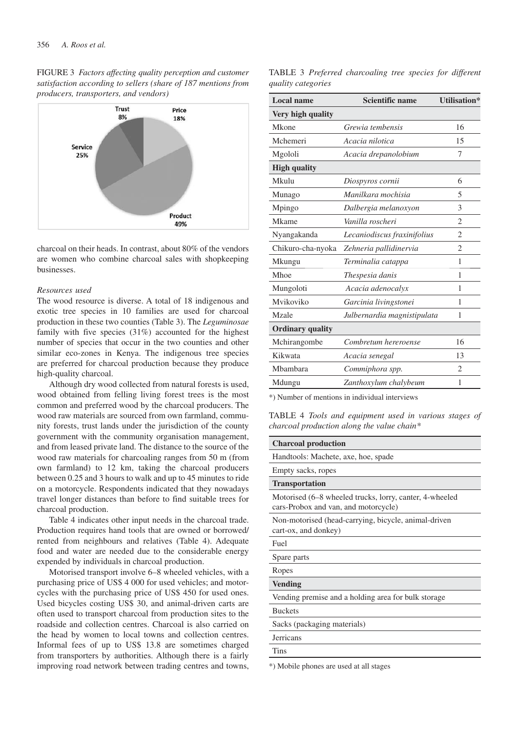FIGURE 3 *Factors affecting quality perception and customer satisfaction according to sellers (share of 187 mentions from producers, transporters, and vendors)*



charcoal on their heads. In contrast, about 80% of the vendors are women who combine charcoal sales with shopkeeping businesses.

### *Resources used*

The wood resource is diverse. A total of 18 indigenous and exotic tree species in 10 families are used for charcoal production in these two counties (Table 3). The *Leguminosae*  family with five species (31%) accounted for the highest number of species that occur in the two counties and other similar eco-zones in Kenya. The indigenous tree species are preferred for charcoal production because they produce high-quality charcoal.

Although dry wood collected from natural forests is used, wood obtained from felling living forest trees is the most common and preferred wood by the charcoal producers. The wood raw materials are sourced from own farmland, community forests, trust lands under the jurisdiction of the county government with the community organisation management, and from leased private land. The distance to the source of the wood raw materials for charcoaling ranges from 50 m (from own farmland) to 12 km, taking the charcoal producers between 0.25 and 3 hours to walk and up to 45 minutes to ride on a motorcycle. Respondents indicated that they nowadays travel longer distances than before to find suitable trees for charcoal production.

Table 4 indicates other input needs in the charcoal trade. Production requires hand tools that are owned or borrowed/ rented from neighbours and relatives (Table 4). Adequate food and water are needed due to the considerable energy expended by individuals in charcoal production.

Motorised transport involve 6–8 wheeled vehicles, with a purchasing price of US\$ 4 000 for used vehicles; and motorcycles with the purchasing price of US\$ 450 for used ones. Used bicycles costing US\$ 30, and animal-driven carts are often used to transport charcoal from production sites to the roadside and collection centres. Charcoal is also carried on the head by women to local towns and collection centres. Informal fees of up to US\$ 13.8 are sometimes charged from transporters by authorities. Although there is a fairly improving road network between trading centres and towns,

TABLE 3 *Preferred charcoaling tree species for different quality categories* 

| Local name              | <b>Scientific name</b>      | <b>Utilisation*</b> |
|-------------------------|-----------------------------|---------------------|
| Very high quality       |                             |                     |
| Mkone                   | Grewia tembensis            | 16                  |
| Mchemeri                | Acacia nilotica             | 15                  |
| Mgololi                 | Acacia drepanolobium        | 7                   |
| <b>High quality</b>     |                             |                     |
| Mkulu                   | Diospyros cornii            | 6                   |
| Munago                  | Manilkara mochisia          | 5                   |
| Mpingo                  | Dalbergia melanoxyon        | 3                   |
| Mkame                   | Vanilla roscheri            | $\mathfrak{D}$      |
| Nyangakanda             | Lecaniodiscus fraxinifolius | $\overline{c}$      |
| Chikuro-cha-nyoka       | Zehneria pallidinervia      | 2                   |
| Mkungu                  | Terminalia catappa          | 1                   |
| Mhoe                    | Thespesia danis             | 1                   |
| Mungoloti               | Acacia adenocalyx           | 1                   |
| Mvikoviko               | Garcinia livingstonei       | 1                   |
| Mzale                   | Julbernardia magnistipulata | 1                   |
| <b>Ordinary quality</b> |                             |                     |
| Mchirangombe            | Combretum hereroense        | 16                  |
| Kikwata                 | Acacia senegal              | 13                  |
| Mbambara                | Commiphora spp.             | $\mathfrak{D}$      |
| Mdungu                  | Zanthoxylum chalybeum       | 1                   |

\*) Number of mentions in individual interviews

TABLE 4 *Tools and equipment used in various stages of charcoal production along the value chain\**

### **Charcoal production**

Handtools: Machete, axe, hoe, spade

# Empty sacks, ropes **Transportation**

Motorised (6–8 wheeled trucks, lorry, canter, 4-wheeled

cars-Probox and van, and motorcycle)

Non-motorised (head-carrying, bicycle, animal-driven cart-ox, and donkey)

## Fuel

Spare parts

Ropes

# **Vending**

Vending premise and a holding area for bulk storage

Buckets

Sacks (packaging materials)

**Jerricans** 

Tins

\*) Mobile phones are used at all stages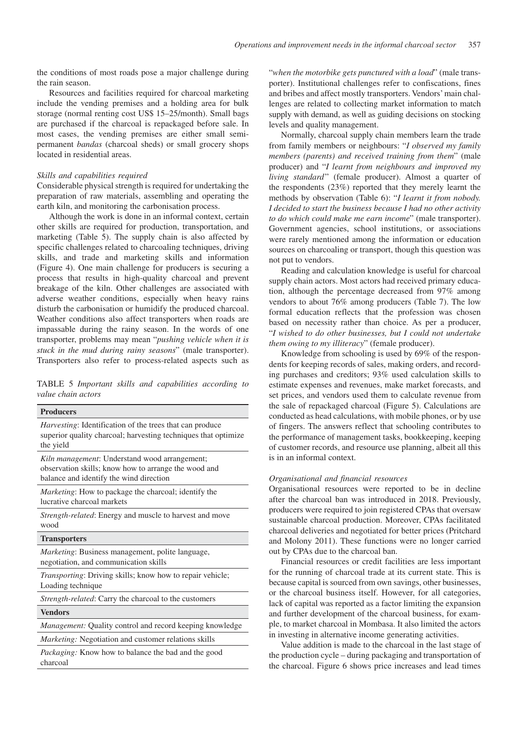the conditions of most roads pose a major challenge during the rain season.

Resources and facilities required for charcoal marketing include the vending premises and a holding area for bulk storage (normal renting cost US\$ 15–25/month). Small bags are purchased if the charcoal is repackaged before sale. In most cases, the vending premises are either small semipermanent *bandas* (charcoal sheds) or small grocery shops located in residential areas.

### *Skills and capabilities required*

charcoal

Considerable physical strength is required for undertaking the preparation of raw materials, assembling and operating the earth kiln, and monitoring the carbonisation process.

 Although the work is done in an informal context, certain other skills are required for production, transportation, and marketing (Table 5). The supply chain is also affected by specific challenges related to charcoaling techniques, driving skills, and trade and marketing skills and information (Figure 4). One main challenge for producers is securing a process that results in high-quality charcoal and prevent breakage of the kiln. Other challenges are associated with adverse weather conditions, especially when heavy rains disturb the carbonisation or humidify the produced charcoal. Weather conditions also affect transporters when roads are impassable during the rainy season. In the words of one transporter, problems may mean "*pushing vehicle when it is stuck in the mud during rainy seasons*" (male transporter). Transporters also refer to process-related aspects such as

TABLE 5 *Important skills and capabilities according to value chain actors*

| <b>Producers</b>                                                                                                                                 | the sale of<br>conducte               |
|--------------------------------------------------------------------------------------------------------------------------------------------------|---------------------------------------|
| <i>Harvesting:</i> Identification of the trees that can produce<br>superior quality charcoal; harvesting techniques that optimize<br>the yield   | of fingers<br>the perfor<br>of custon |
| Kiln management: Understand wood arrangement;<br>observation skills; know how to arrange the wood and<br>balance and identify the wind direction | is in an in<br>Organisa               |
| <i>Marketing</i> : How to package the charcoal; identify the<br>lucrative charcoal markets                                                       | Organisat<br>after the                |
| Strength-related: Energy and muscle to harvest and move<br>wood                                                                                  | producers<br>sustainab<br>charcoal    |
| <b>Transporters</b>                                                                                                                              | and Mold                              |
| Marketing: Business management, polite language,<br>negotiation, and communication skills                                                        | out by CI<br>Finan                    |
| Transporting: Driving skills; know how to repair vehicle;<br>Loading technique                                                                   | for the ru<br>because c               |
| Strength-related: Carry the charcoal to the customers                                                                                            | or the ch<br>lack of ca               |
| <b>Vendors</b>                                                                                                                                   | and furth                             |
| Management: Quality control and record keeping knowledge                                                                                         | ple, to ma                            |
| Marketing: Negotiation and customer relations skills                                                                                             | in investi<br>Value                   |
| <i>Packaging:</i> Know how to balance the bad and the good                                                                                       | the produ                             |

"*when the motorbike gets punctured with a load*" (male transporter). Institutional challenges refer to confiscations, fines and bribes and affect mostly transporters. Vendors' main challenges are related to collecting market information to match supply with demand, as well as guiding decisions on stocking levels and quality management.

Normally, charcoal supply chain members learn the trade from family members or neighbours: "*I observed my family members (parents) and received training from them*" (male producer) and "*I learnt from neighbours and improved my living standard*" (female producer). Almost a quarter of the respondents (23%) reported that they merely learnt the methods by observation (Table 6): "*I learnt it from nobody. I decided to start the business because I had no other activity to do which could make me earn income*" (male transporter). Government agencies, school institutions, or associations were rarely mentioned among the information or education sources on charcoaling or transport, though this question was not put to vendors.

Reading and calculation knowledge is useful for charcoal supply chain actors. Most actors had received primary education, although the percentage decreased from 97% among vendors to about 76% among producers (Table 7). The low formal education reflects that the profession was chosen based on necessity rather than choice. As per a producer, "*I wished to do other businesses, but I could not undertake them owing to my illiteracy*" (female producer).

Knowledge from schooling is used by 69% of the respondents for keeping records of sales, making orders, and recording purchases and creditors; 93% used calculation skills to estimate expenses and revenues, make market forecasts, and set prices, and vendors used them to calculate revenue from of repackaged charcoal (Figure 5). Calculations are d as head calculations, with mobile phones, or by use s. The answers reflect that schooling contributes to mance of management tasks, bookkeeping, keeping her records, and resource use planning, albeit all this iformal context.

### *Organisational and financial resources*

ional resources were reported to be in decline charcoal ban was introduced in 2018. Previously, s were required to join registered CPAs that oversaw le charcoal production. Moreover, CPAs facilitated deliveries and negotiated for better prices (Pritchard and  $2011$ ). These functions were no longer carried PAs due to the charcoal ban.

cial resources or credit facilities are less important inning of charcoal trade at its current state. This is apital is sourced from own savings, other businesses, arcoal business itself. However, for all categories, pital was reported as a factor limiting the expansion er development of the charcoal business, for examarket charcoal in Mombasa. It also limited the actors ing in alternative income generating activities.

addition is made to the charcoal in the last stage of the production cycle – during packaging and transportation of the charcoal. Figure 6 shows price increases and lead times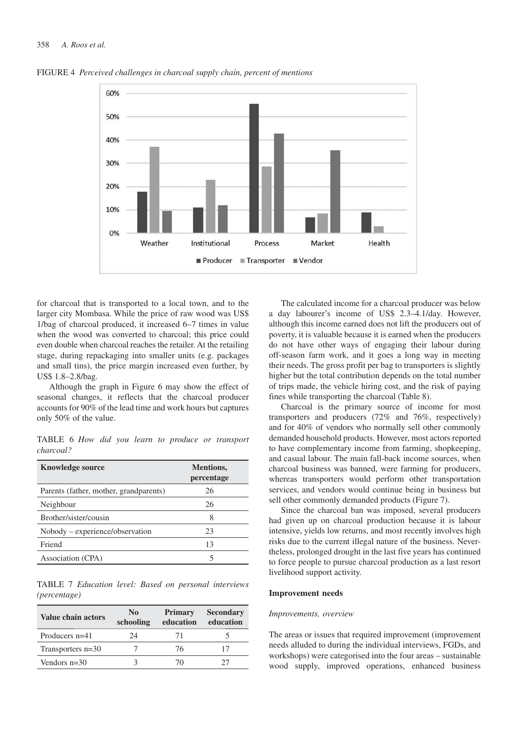

FIGURE 4 *Perceived challenges in charcoal supply chain, percent of mentions*

for charcoal that is transported to a local town, and to the larger city Mombasa. While the price of raw wood was US\$ 1/bag of charcoal produced, it increased 6–7 times in value when the wood was converted to charcoal; this price could even double when charcoal reaches the retailer. At the retailing stage, during repackaging into smaller units (e.g. packages and small tins), the price margin increased even further, by US\$ 1.8–2.8/bag.

Although the graph in Figure 6 may show the effect of seasonal changes, it reflects that the charcoal producer accounts for 90% of the lead time and work hours but captures only 50% of the value.

TABLE 6 *How did you learn to produce or transport charcoal?*

| <b>Knowledge source</b>                | <b>Mentions,</b><br>percentage |
|----------------------------------------|--------------------------------|
| Parents (father, mother, grandparents) | 26                             |
| Neighbour                              | 26                             |
| Brother/sister/cousin                  | 8                              |
| Nobody – experience/observation        | 23                             |
| Friend                                 | 13                             |
| Association (CPA)                      |                                |

TABLE 7 *Education level: Based on personal interviews (percentage)*

| Value chain actors | N <sub>0</sub><br>schooling | <b>Primary</b><br>education | <b>Secondary</b><br>education |
|--------------------|-----------------------------|-----------------------------|-------------------------------|
| Producers $n=41$   | 24                          | 71                          |                               |
| Transporters n=30  |                             | 76                          |                               |
| Vendors $n=30$     |                             | (1)                         |                               |

The calculated income for a charcoal producer was below a day labourer's income of US\$ 2.3–4.1/day. However, although this income earned does not lift the producers out of poverty, it is valuable because it is earned when the producers do not have other ways of engaging their labour during off-season farm work, and it goes a long way in meeting their needs. The gross profit per bag to transporters is slightly higher but the total contribution depends on the total number of trips made, the vehicle hiring cost, and the risk of paying fines while transporting the charcoal (Table 8).

Charcoal is the primary source of income for most transporters and producers (72% and 76%, respectively) and for 40% of vendors who normally sell other commonly demanded household products. However, most actors reported to have complementary income from farming, shopkeeping, and casual labour. The main fall-back income sources, when charcoal business was banned, were farming for producers, whereas transporters would perform other transportation services, and vendors would continue being in business but sell other commonly demanded products (Figure 7).

Since the charcoal ban was imposed, several producers had given up on charcoal production because it is labour intensive, yields low returns, and most recently involves high risks due to the current illegal nature of the business. Nevertheless, prolonged drought in the last five years has continued to force people to pursue charcoal production as a last resort livelihood support activity.

### **Improvement needs**

#### *Improvements, overview*

The areas or issues that required improvement (improvement needs alluded to during the individual interviews, FGDs, and workshops) were categorised into the four areas – sustainable wood supply, improved operations, enhanced business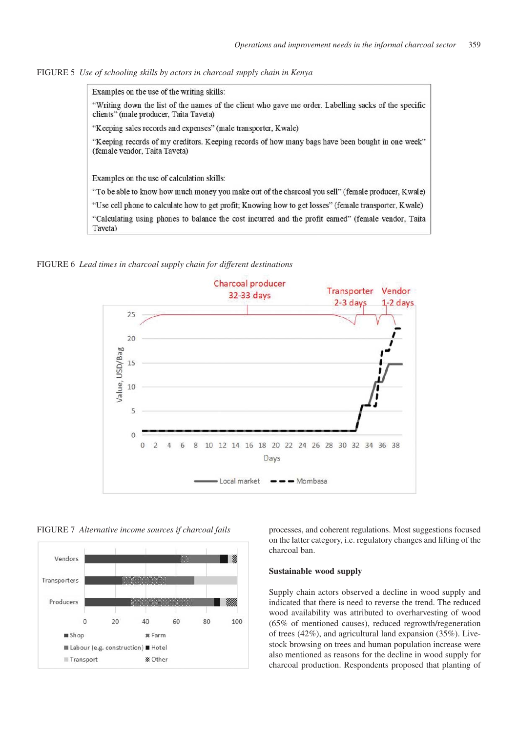FIGURE 5 *Use of schooling skills by actors in charcoal supply chain in Kenya*



FIGURE 6 *Lead times in charcoal supply chain for different destinations*



FIGURE 7 *Alternative income sources if charcoal fails*



processes, and coherent regulations. Most suggestions focused on the latter category, i.e. regulatory changes and lifting of the charcoal ban.

### **Sustainable wood supply**

Supply chain actors observed a decline in wood supply and indicated that there is need to reverse the trend. The reduced wood availability was attributed to overharvesting of wood (65% of mentioned causes), reduced regrowth/regeneration of trees (42%), and agricultural land expansion (35%). Livestock browsing on trees and human population increase were also mentioned as reasons for the decline in wood supply for charcoal production. Respondents proposed that planting of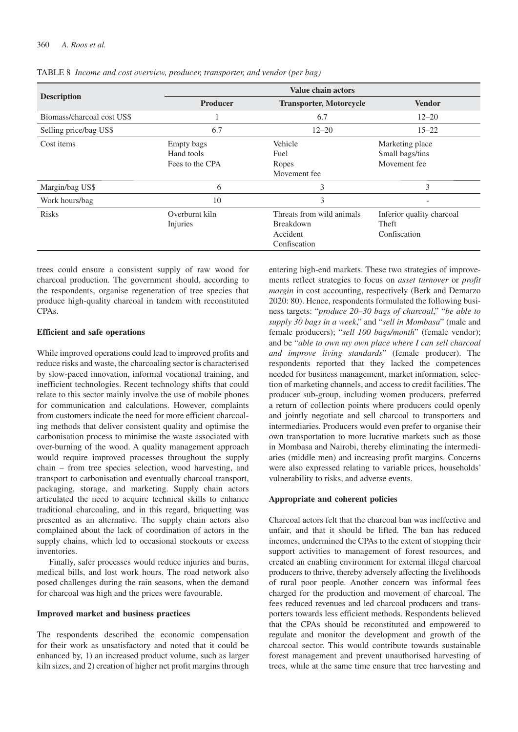|                            | <b>Value chain actors</b>                   |                                                                           |                                                    |  |
|----------------------------|---------------------------------------------|---------------------------------------------------------------------------|----------------------------------------------------|--|
| <b>Description</b>         | <b>Producer</b>                             | <b>Transporter, Motorcycle</b>                                            |                                                    |  |
| Biomass/charcoal cost US\$ | -1                                          | 6.7                                                                       | $12 - 20$                                          |  |
| Selling price/bag US\$     | 6.7                                         | $12 - 20$                                                                 | $15 - 22$                                          |  |
| Cost items                 | Empty bags<br>Hand tools<br>Fees to the CPA | Vehicle<br>Fuel<br>Ropes<br>Movement fee                                  | Marketing place<br>Small bags/tins<br>Movement fee |  |
| Margin/bag US\$            | 6                                           | 3                                                                         | 3                                                  |  |
| Work hours/bag             | 10                                          | 3                                                                         | $\overline{\phantom{a}}$                           |  |
| <b>Risks</b>               | Overburnt kiln<br>Injuries                  | Threats from wild animals<br><b>Breakdown</b><br>Accident<br>Confiscation | Inferior quality charcoal<br>Theft<br>Confiscation |  |

TABLE 8 *Income and cost overview, producer, transporter, and vendor (per bag)*

trees could ensure a consistent supply of raw wood for charcoal production. The government should, according to the respondents, organise regeneration of tree species that produce high-quality charcoal in tandem with reconstituted CPAs.

### **Efficient and safe operations**

While improved operations could lead to improved profits and reduce risks and waste, the charcoaling sector is characterised by slow-paced innovation, informal vocational training, and inefficient technologies. Recent technology shifts that could relate to this sector mainly involve the use of mobile phones for communication and calculations. However, complaints from customers indicate the need for more efficient charcoaling methods that deliver consistent quality and optimise the carbonisation process to minimise the waste associated with over-burning of the wood. A quality management approach would require improved processes throughout the supply chain – from tree species selection, wood harvesting, and transport to carbonisation and eventually charcoal transport, packaging, storage, and marketing. Supply chain actors articulated the need to acquire technical skills to enhance traditional charcoaling, and in this regard, briquetting was presented as an alternative. The supply chain actors also complained about the lack of coordination of actors in the supply chains, which led to occasional stockouts or excess inventories.

Finally, safer processes would reduce injuries and burns, medical bills, and lost work hours. The road network also posed challenges during the rain seasons, when the demand for charcoal was high and the prices were favourable.

### **Improved market and business practices**

The respondents described the economic compensation for their work as unsatisfactory and noted that it could be enhanced by, 1) an increased product volume, such as larger kiln sizes, and 2) creation of higher net profit margins through entering high-end markets. These two strategies of improvements reflect strategies to focus on *asset turnover* or *profit margin* in cost accounting, respectively (Berk and Demarzo 2020: 80). Hence, respondents formulated the following business targets: "*produce 20–30 bags of charcoal*," "*be able to supply 30 bags in a week*," and "*sell in Mombasa*" (male and female producers); "*sell 100 bags/month*" (female vendor); and be "*able to own my own place where I can sell charcoal and improve living standards*" (female producer). The respondents reported that they lacked the competences needed for business management, market information, selection of marketing channels, and access to credit facilities. The producer sub-group, including women producers, preferred a return of collection points where producers could openly and jointly negotiate and sell charcoal to transporters and intermediaries. Producers would even prefer to organise their own transportation to more lucrative markets such as those in Mombasa and Nairobi, thereby eliminating the intermediaries (middle men) and increasing profit margins. Concerns were also expressed relating to variable prices, households' vulnerability to risks, and adverse events.

### **Appropriate and coherent policies**

Charcoal actors felt that the charcoal ban was ineffective and unfair, and that it should be lifted. The ban has reduced incomes, undermined the CPAs to the extent of stopping their support activities to management of forest resources, and created an enabling environment for external illegal charcoal producers to thrive, thereby adversely affecting the livelihoods of rural poor people. Another concern was informal fees charged for the production and movement of charcoal. The fees reduced revenues and led charcoal producers and transporters towards less efficient methods. Respondents believed that the CPAs should be reconstituted and empowered to regulate and monitor the development and growth of the charcoal sector. This would contribute towards sustainable forest management and prevent unauthorised harvesting of trees, while at the same time ensure that tree harvesting and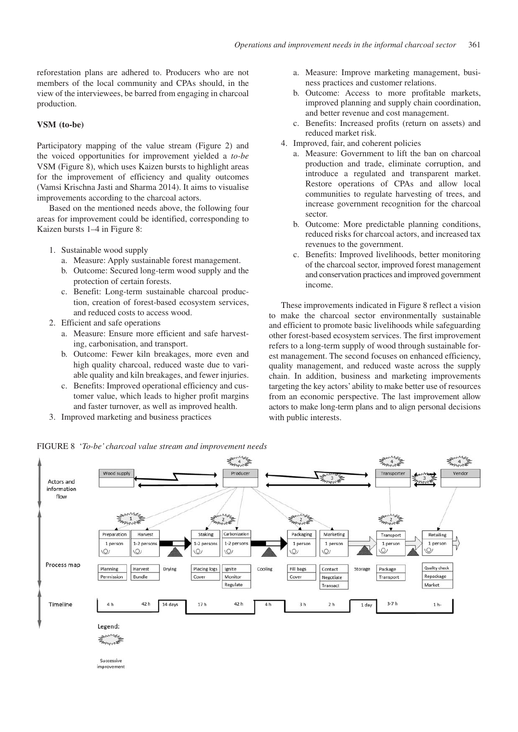reforestation plans are adhered to. Producers who are not members of the local community and CPAs should, in the view of the interviewees, be barred from engaging in charcoal production.

### **VSM (to-be)**

Participatory mapping of the value stream (Figure 2) and the voiced opportunities for improvement yielded a *to-be* VSM (Figure 8), which uses Kaizen bursts to highlight areas for the improvement of efficiency and quality outcomes (Vamsi Krischna Jasti and Sharma 2014). It aims to visualise improvements according to the charcoal actors.

Based on the mentioned needs above, the following four areas for improvement could be identified, corresponding to Kaizen bursts 1–4 in Figure 8:

- 1. Sustainable wood supply
	- a. Measure: Apply sustainable forest management.
	- b. Outcome: Secured long-term wood supply and the protection of certain forests.
	- c. Benefit: Long-term sustainable charcoal production, creation of forest-based ecosystem services, and reduced costs to access wood.
- 2. Efficient and safe operations
	- a. Measure: Ensure more efficient and safe harvesting, carbonisation, and transport.
	- b. Outcome: Fewer kiln breakages, more even and high quality charcoal, reduced waste due to variable quality and kiln breakages, and fewer injuries.
	- c. Benefits: Improved operational efficiency and customer value, which leads to higher profit margins and faster turnover, as well as improved health.
- 3. Improved marketing and business practices
- a. Measure: Improve marketing management, business practices and customer relations.
- b. Outcome: Access to more profitable markets, improved planning and supply chain coordination, and better revenue and cost management.
- c. Benefits: Increased profits (return on assets) and reduced market risk.
- 4. Improved, fair, and coherent policies
	- a. Measure: Government to lift the ban on charcoal production and trade, eliminate corruption, and introduce a regulated and transparent market. Restore operations of CPAs and allow local communities to regulate harvesting of trees, and increase government recognition for the charcoal sector.
	- b. Outcome: More predictable planning conditions, reduced risks for charcoal actors, and increased tax revenues to the government.
	- c. Benefits: Improved livelihoods, better monitoring of the charcoal sector, improved forest management and conservation practices and improved government income.

These improvements indicated in Figure 8 reflect a vision to make the charcoal sector environmentally sustainable and efficient to promote basic livelihoods while safeguarding other forest-based ecosystem services. The first improvement refers to a long-term supply of wood through sustainable forest management. The second focuses on enhanced efficiency, quality management, and reduced waste across the supply chain. In addition, business and marketing improvements targeting the key actors' ability to make better use of resources from an economic perspective. The last improvement allow actors to make long-term plans and to align personal decisions with public interests.

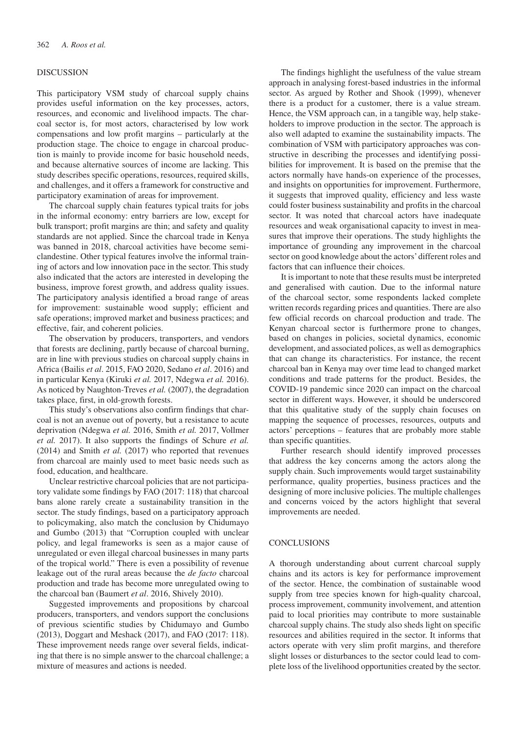### DISCUSSION

This participatory VSM study of charcoal supply chains provides useful information on the key processes, actors, resources, and economic and livelihood impacts. The charcoal sector is, for most actors, characterised by low work compensations and low profit margins – particularly at the production stage. The choice to engage in charcoal production is mainly to provide income for basic household needs, and because alternative sources of income are lacking. This study describes specific operations, resources, required skills, and challenges, and it offers a framework for constructive and participatory examination of areas for improvement.

The charcoal supply chain features typical traits for jobs in the informal economy: entry barriers are low, except for bulk transport; profit margins are thin; and safety and quality standards are not applied. Since the charcoal trade in Kenya was banned in 2018, charcoal activities have become semiclandestine. Other typical features involve the informal training of actors and low innovation pace in the sector. This study also indicated that the actors are interested in developing the business, improve forest growth, and address quality issues. The participatory analysis identified a broad range of areas for improvement: sustainable wood supply; efficient and safe operations; improved market and business practices; and effective, fair, and coherent policies.

The observation by producers, transporters, and vendors that forests are declining, partly because of charcoal burning, are in line with previous studies on charcoal supply chains in Africa (Bailis *et al*. 2015, FAO 2020, Sedano *et al*. 2016) and in particular Kenya (Kiruki *et al.* 2017, Ndegwa *et al.* 2016). As noticed by Naughton-Treves *et al.* (2007), the degradation takes place, first, in old-growth forests.

This study's observations also confirm findings that charcoal is not an avenue out of poverty, but a resistance to acute deprivation (Ndegwa *et al.* 2016, Smith *et al.* 2017, Vollmer *et al.* 2017). It also supports the findings of Schure *et al.* (2014) and Smith *et al.* (2017) who reported that revenues from charcoal are mainly used to meet basic needs such as food, education, and healthcare.

Unclear restrictive charcoal policies that are not participatory validate some findings by FAO (2017: 118) that charcoal bans alone rarely create a sustainability transition in the sector. The study findings, based on a participatory approach to policymaking, also match the conclusion by Chidumayo and Gumbo (2013) that "Corruption coupled with unclear policy, and legal frameworks is seen as a major cause of unregulated or even illegal charcoal businesses in many parts of the tropical world." There is even a possibility of revenue leakage out of the rural areas because the *de facto* charcoal production and trade has become more unregulated owing to the charcoal ban (Baumert *et al*. 2016, Shively 2010).

Suggested improvements and propositions by charcoal producers, transporters, and vendors support the conclusions of previous scientific studies by Chidumayo and Gumbo (2013), Doggart and Meshack (2017), and FAO (2017: 118). These improvement needs range over several fields, indicating that there is no simple answer to the charcoal challenge; a mixture of measures and actions is needed.

The findings highlight the usefulness of the value stream approach in analysing forest-based industries in the informal sector. As argued by Rother and Shook (1999), whenever there is a product for a customer, there is a value stream. Hence, the VSM approach can, in a tangible way, help stakeholders to improve production in the sector. The approach is also well adapted to examine the sustainability impacts. The combination of VSM with participatory approaches was constructive in describing the processes and identifying possibilities for improvement. It is based on the premise that the actors normally have hands-on experience of the processes, and insights on opportunities for improvement. Furthermore, it suggests that improved quality, efficiency and less waste could foster business sustainability and profits in the charcoal sector. It was noted that charcoal actors have inadequate resources and weak organisational capacity to invest in measures that improve their operations. The study highlights the importance of grounding any improvement in the charcoal sector on good knowledge about the actors' different roles and factors that can influence their choices.

It is important to note that these results must be interpreted and generalised with caution. Due to the informal nature of the charcoal sector, some respondents lacked complete written records regarding prices and quantities. There are also few official records on charcoal production and trade. The Kenyan charcoal sector is furthermore prone to changes, based on changes in policies, societal dynamics, economic development, and associated polices, as well as demographics that can change its characteristics. For instance, the recent charcoal ban in Kenya may over time lead to changed market conditions and trade patterns for the product. Besides, the COVID-19 pandemic since 2020 can impact on the charcoal sector in different ways. However, it should be underscored that this qualitative study of the supply chain focuses on mapping the sequence of processes, resources, outputs and actors' perceptions – features that are probably more stable than specific quantities.

Further research should identify improved processes that address the key concerns among the actors along the supply chain. Such improvements would target sustainability performance, quality properties, business practices and the designing of more inclusive policies. The multiple challenges and concerns voiced by the actors highlight that several improvements are needed.

### **CONCLUSIONS**

A thorough understanding about current charcoal supply chains and its actors is key for performance improvement of the sector. Hence, the combination of sustainable wood supply from tree species known for high-quality charcoal, process improvement, community involvement, and attention paid to local priorities may contribute to more sustainable charcoal supply chains. The study also sheds light on specific resources and abilities required in the sector. It informs that actors operate with very slim profit margins, and therefore slight losses or disturbances to the sector could lead to complete loss of the livelihood opportunities created by the sector.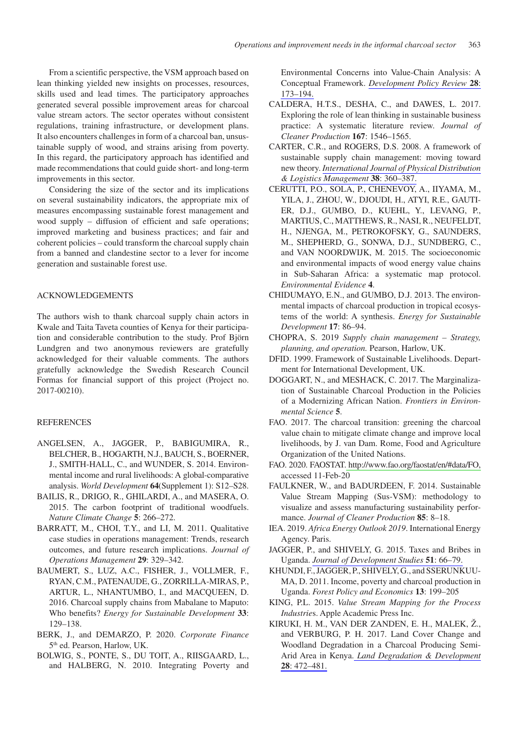From a scientific perspective, the VSM approach based on lean thinking yielded new insights on processes, resources, skills used and lead times. The participatory approaches generated several possible improvement areas for charcoal value stream actors. The sector operates without consistent regulations, training infrastructure, or development plans. It also encounters challenges in form of a charcoal ban, unsustainable supply of wood, and strains arising from poverty. In this regard, the participatory approach has identified and made recommendations that could guide short- and long-term improvements in this sector.

Considering the size of the sector and its implications on several sustainability indicators, the appropriate mix of measures encompassing sustainable forest management and wood supply – diffusion of efficient and safe operations; improved marketing and business practices; and fair and coherent policies – could transform the charcoal supply chain from a banned and clandestine sector to a lever for income generation and sustainable forest use.

### ACKNOWLEDGEMENTS

The authors wish to thank charcoal supply chain actors in Kwale and Taita Taveta counties of Kenya for their participation and considerable contribution to the study. Prof Björn Lundgren and two anonymous reviewers are gratefully acknowledged for their valuable comments. The authors gratefully acknowledge the Swedish Research Council Formas for financial support of this project (Project no. 2017-00210).

### **REFERENCES**

- ANGELSEN, A., JAGGER, P., BABIGUMIRA, R., BELCHER, B., HOGARTH, N.J., BAUCH, S., BOERNER, J., SMITH-HALL, C., and WUNDER, S. 2014. Environmental income and rural livelihoods: A global-comparative analysis. *World Development* **64**(Supplement 1): S12–S28.
- BAILIS, R., DRIGO, R., GHILARDI, A., and MASERA, O. 2015. The carbon footprint of traditional woodfuels. *Nature Climate Change* **5**: 266–272.
- BARRATT, M., CHOI, T.Y., and LI, M. 2011. Qualitative case studies in operations management: Trends, research outcomes, and future research implications. *Journal of Operations Management* **29**: 329–342.
- BAUMERT, S., LUZ, A.C., FISHER, J., VOLLMER, F., RYAN, C.M., PATENAUDE, G., ZORRILLA-MIRAS, P., ARTUR, L., NHANTUMBO, I., and MACQUEEN, D. 2016. Charcoal supply chains from Mabalane to Maputo: Who benefits? *Energy for Sustainable Development* **33**: 129–138.
- BERK, J., and DEMARZO, P. 2020. *Corporate Finance* 5th ed. Pearson, Harlow, UK.
- BOLWIG, S., PONTE, S., DU TOIT, A., RIISGAARD, L., and HALBERG, N. 2010. Integrating Poverty and

Environmental Concerns into Value-Chain Analysis: A Conceptual Framework. *[Development Policy Review](http://www.ingentaconnect.com/content/external-references?article=0950-6764()28L.173[aid=11422062])* **28**: [173–194.](http://www.ingentaconnect.com/content/external-references?article=0950-6764()28L.173[aid=11422062])

- CALDERA, H.T.S., DESHA, C., and DAWES, L. 2017. Exploring the role of lean thinking in sustainable business practice: A systematic literature review. *Journal of Cleaner Production* **167**: 1546–1565.
- CARTER, C.R., and ROGERS, D.S. 2008. A framework of sustainable supply chain management: moving toward new theory. *[International Journal of Physical Distribution](http://www.ingentaconnect.com/content/external-references?article=0960-0035()38L.360[aid=9787089])  [& Logistics Management](http://www.ingentaconnect.com/content/external-references?article=0960-0035()38L.360[aid=9787089])* **38**: 360–387.
- CERUTTI, P.O., SOLA, P., CHENEVOY, A., IIYAMA, M., YILA, J., ZHOU, W., DJOUDI, H., ATYI, R.E., GAUTI-ER, D.J., GUMBO, D., KUEHL, Y., LEVANG, P., MARTIUS, C., MATTHEWS, R., NASI, R., NEUFELDT, H., NJENGA, M., PETROKOFSKY, G., SAUNDERS, M., SHEPHERD, G., SONWA, D.J., SUNDBERG, C., and VAN NOORDWIJK, M. 2015. The socioeconomic and environmental impacts of wood energy value chains in Sub-Saharan Africa: a systematic map protocol. *Environmental Evidence* **4**.
- CHIDUMAYO, E.N., and GUMBO, D.J. 2013. The environmental impacts of charcoal production in tropical ecosystems of the world: A synthesis. *Energy for Sustainable Development* **17**: 86–94.
- CHOPRA, S. 2019 *Supply chain management Strategy, planning, and operation.* Pearson, Harlow, UK.
- DFID. 1999. Framework of Sustainable Livelihoods. Department for International Development, UK.
- DOGGART, N., and MESHACK, C. 2017. The Marginalization of Sustainable Charcoal Production in the Policies of a Modernizing African Nation. *Frontiers in Environmental Science* **5**.
- FAO. 2017. The charcoal transition: greening the charcoal value chain to mitigate climate change and improve local livelihoods, by J. van Dam. Rome, Food and Agriculture Organization of the United Nations.
- FAO. 2020. FAOSTAT[. http://www.fao.org/faostat/en/#data/FO,](http://www.fao.org/faostat/en/#data/FO)  accessed 11-Feb-20
- FAULKNER, W., and BADURDEEN, F. 2014. Sustainable Value Stream Mapping (Sus-VSM): methodology to visualize and assess manufacturing sustainability performance. *Journal of Cleaner Production* **85**: 8–18.
- IEA. 2019. *Africa Energy Outlook 2019*. International Energy Agency. Paris.
- JAGGER, P., and SHIVELY, G. 2015. Taxes and Bribes in Uganda. *[Journal of Development Studies](http://www.ingentaconnect.com/content/external-references?article=0022-0388()51L.66[aid=11422059])* **51**: 66–79.
- KHUNDI, F., JAGGER, P., SHIVELY, G., and SSERUNKUU-MA, D. 2011. Income, poverty and charcoal production in Uganda. *Forest Policy and Economics* **13**: 199–205
- KING, P.L. 2015. *Value Stream Mapping for the Process Industrie*s. Apple Academic Press Inc.
- KIRUKI, H. M., VAN DER ZANDEN, E. H., MALEK, Ž., and VERBURG, P. H. 2017. Land Cover Change and Woodland Degradation in a Charcoal Producing Semi-Arid Area in Kenya. *[Land Degradation & Development](http://www.ingentaconnect.com/content/external-references?article=1085-3278()28L.472[aid=11422057])*  **28**[: 472–481.](http://www.ingentaconnect.com/content/external-references?article=1085-3278()28L.472[aid=11422057])